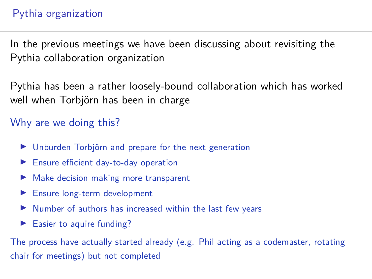### Pythia organization

In the previous meetings we have been discussing about revisiting the Pythia collaboration organization

Pythia has been a rather loosely-bound collaboration which has worked well when Torbjörn has been in charge

Why are we doing this?

- $\blacktriangleright$  Unburden Torbjörn and prepare for the next generation
- $\blacktriangleright$  Ensure efficient day-to-day operation
- Make decision making more transparent
- $\blacktriangleright$  Ensure long-term development
- Number of authors has increased within the last few years
- $\blacktriangleright$  Easier to aquire funding?

The process have actually started already (e.g. Phil acting as a codemaster, rotating chair for meetings) but not completed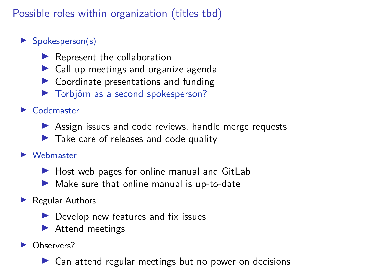## Possible roles within organization (titles tbd)

- $\blacktriangleright$  Spokesperson(s)
	- $\blacktriangleright$  Represent the collaboration
	- $\blacktriangleright$  Call up meetings and organize agenda
	- $\triangleright$  Coordinate presentations and funding
	- ▶ Torbjörn as a second spokesperson?
- $\blacktriangleright$  Codemaster
	- $\triangleright$  Assign issues and code reviews, handle merge requests
	- $\blacktriangleright$  Take care of releases and code quality
- $\blacktriangleright$  Webmaster
	- $\blacktriangleright$  Host web pages for online manual and GitLab
	- $\blacktriangleright$  Make sure that online manual is up-to-date
- $\blacktriangleright$  Regular Authors
	- $\blacktriangleright$  Develop new features and fix issues
	- $\blacktriangleright$  Attend meetings
- Observers?
	- Can attend regular meetings but no power on decisions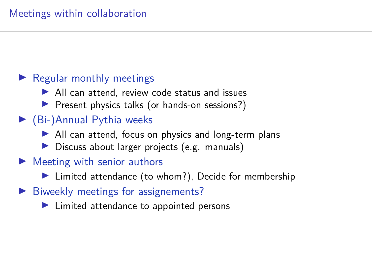## $\blacktriangleright$  Regular monthly meetings

- $\blacktriangleright$  All can attend, review code status and issues
- ▶ Present physics talks (or hands-on sessions?)

# $\blacktriangleright$  (Bi-)Annual Pythia weeks

- $\blacktriangleright$  All can attend, focus on physics and long-term plans
- $\triangleright$  Discuss about larger projects (e.g. manuals)

## $\blacktriangleright$  Meeting with senior authors

- $\blacktriangleright$  Limited attendance (to whom?), Decide for membership
- $\blacktriangleright$  Biweekly meetings for assignements?
	- $\blacktriangleright$  Limited attendance to appointed persons